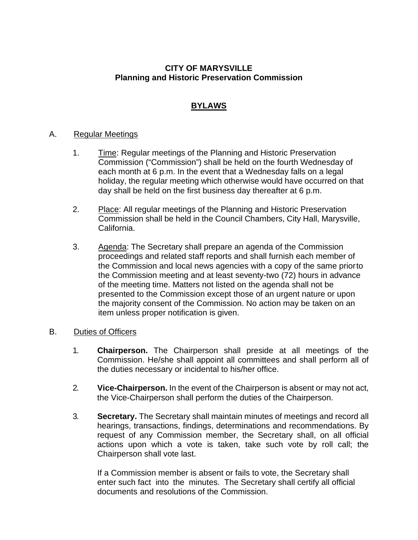# **CITY OF MARYSVILLE Planning and Historic Preservation Commission**

# **BYLAWS**

# A. Regular Meetings

- 1. Time: Regular meetings of the Planning and Historic Preservation Commission ("Commission") shall be held on the fourth Wednesday of each month at 6 p.m. In the event that a Wednesday falls on a legal holiday, the regular meeting which otherwise would have occurred on that day shall be held on the first business day thereafter at 6 p.m.
- 2. Place: All regular meetings of the Planning and Historic Preservation Commission shall be held in the Council Chambers, City Hall, Marysville, California.
- 3. Agenda: The Secretary shall prepare an agenda of the Commission proceedings and related staff reports and shall furnish each member of the Commission and local news agencies with a copy of the same priorto the Commission meeting and at least seventy-two (72) hours in advance of the meeting time. Matters not listed on the agenda shall not be presented to the Commission except those of an urgent nature or upon the majority consent of the Commission. No action may be taken on an item unless proper notification is given.

# B. Duties of Officers

- 1. **Chairperson.** The Chairperson shall preside at all meetings of the Commission. He/she shall appoint all committees and shall perform all of the duties necessary or incidental to his/her office.
- 2. **Vice-Chairperson.** In the event of the Chairperson is absent or may not act, the Vice-Chairperson shall perform the duties of the Chairperson.
- 3. **Secretary.** The Secretary shall maintain minutes of meetings and record all hearings, transactions, findings, determinations and recommendations. By request of any Commission member, the Secretary shall, on all official actions upon which a vote is taken, take such vote by roll call; the Chairperson shall vote last.

If a Commission member is absent or fails to vote, the Secretary shall enter such fact into the minutes. The Secretary shall certify all official documents and resolutions of the Commission.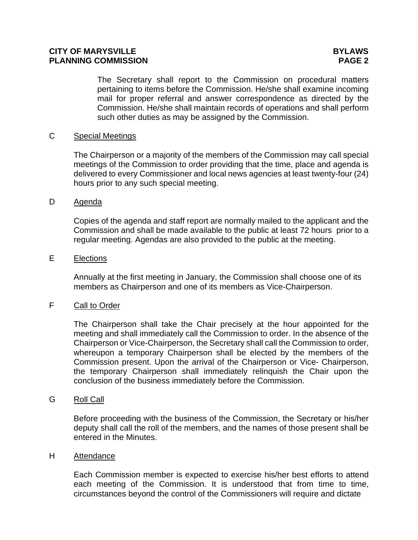# **CITY OF MARYSVILLE BYLAWS PLANNING COMMISSION PAGE 2**

The Secretary shall report to the Commission on procedural matters pertaining to items before the Commission. He/she shall examine incoming mail for proper referral and answer correspondence as directed by the Commission. He/she shall maintain records of operations and shall perform such other duties as may be assigned by the Commission.

# C Special Meetings

The Chairperson or a majority of the members of the Commission may call special meetings of the Commission to order providing that the time, place and agenda is delivered to every Commissioner and local news agencies at least twenty-four (24) hours prior to any such special meeting.

### D Agenda

Copies of the agenda and staff report are normally mailed to the applicant and the Commission and shall be made available to the public at least 72 hours prior to a regular meeting. Agendas are also provided to the public at the meeting.

### E Elections

Annually at the first meeting in January, the Commission shall choose one of its members as Chairperson and one of its members as Vice-Chairperson.

### F Call to Order

The Chairperson shall take the Chair precisely at the hour appointed for the meeting and shall immediately call the Commission to order. In the absence of the Chairperson or Vice-Chairperson, the Secretary shall call the Commission to order, whereupon a temporary Chairperson shall be elected by the members of the Commission present. Upon the arrival of the Chairperson or Vice- Chairperson, the temporary Chairperson shall immediately relinquish the Chair upon the conclusion of the business immediately before the Commission.

#### G Roll Call

Before proceeding with the business of the Commission, the Secretary or his/her deputy shall call the roll of the members, and the names of those present shall be entered in the Minutes.

#### H Attendance

Each Commission member is expected to exercise his/her best efforts to attend each meeting of the Commission. It is understood that from time to time, circumstances beyond the control of the Commissioners will require and dictate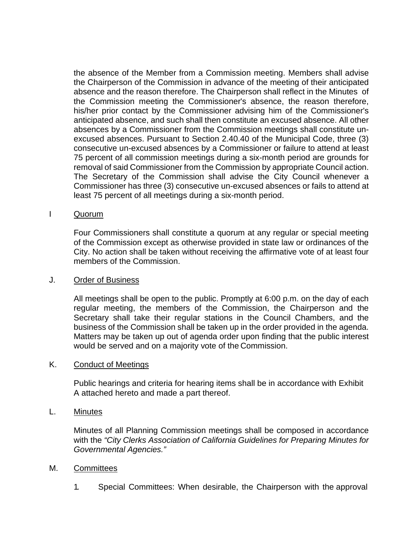the absence of the Member from a Commission meeting. Members shall advise the Chairperson of the Commission in advance of the meeting of their anticipated absence and the reason therefore. The Chairperson shall reflect in the Minutes of the Commission meeting the Commissioner's absence, the reason therefore, his/her prior contact by the Commissioner advising him of the Commissioner's anticipated absence, and such shall then constitute an excused absence. All other absences by a Commissioner from the Commission meetings shall constitute unexcused absences. Pursuant to Section 2.40.40 of the Municipal Code, three (3) consecutive un-excused absences by a Commissioner or failure to attend at least 75 percent of all commission meetings during a six-month period are grounds for removal of said Commissioner from the Commission by appropriate Council action. The Secretary of the Commission shall advise the City Council whenever a Commissioner has three (3) consecutive un-excused absences or fails to attend at least 75 percent of all meetings during a six-month period.

### I Quorum

Four Commissioners shall constitute a quorum at any regular or special meeting of the Commission except as otherwise provided in state law or ordinances of the City. No action shall be taken without receiving the affirmative vote of at least four members of the Commission.

### J. Order of Business

All meetings shall be open to the public. Promptly at 6:00 p.m. on the day of each regular meeting, the members of the Commission, the Chairperson and the Secretary shall take their regular stations in the Council Chambers, and the business of the Commission shall be taken up in the order provided in the agenda. Matters may be taken up out of agenda order upon finding that the public interest would be served and on a majority vote of the Commission.

# K. Conduct of Meetings

Public hearings and criteria for hearing items shall be in accordance with Exhibit A attached hereto and made a part thereof.

### L. Minutes

Minutes of all Planning Commission meetings shall be composed in accordance with the *"City Clerks Association of California Guidelines for Preparing Minutes for Governmental Agencies."*

### M. Committees

1. Special Committees: When desirable, the Chairperson with the approval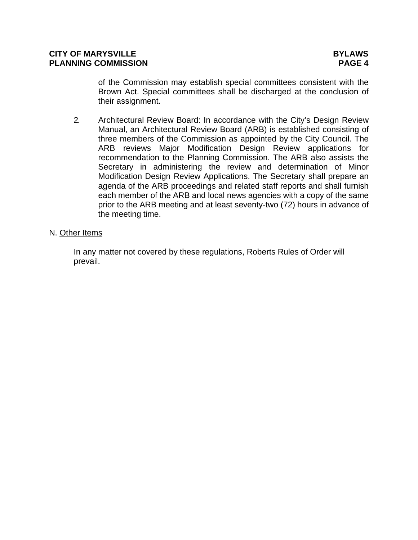of the Commission may establish special committees consistent with the Brown Act. Special committees shall be discharged at the conclusion of their assignment.

2. Architectural Review Board: In accordance with the City's Design Review Manual, an Architectural Review Board (ARB) is established consisting of three members of the Commission as appointed by the City Council. The ARB reviews Major Modification Design Review applications for recommendation to the Planning Commission. The ARB also assists the Secretary in administering the review and determination of Minor Modification Design Review Applications. The Secretary shall prepare an agenda of the ARB proceedings and related staff reports and shall furnish each member of the ARB and local news agencies with a copy of the same prior to the ARB meeting and at least seventy-two (72) hours in advance of the meeting time.

# N. Other Items

In any matter not covered by these regulations, Roberts Rules of Order will prevail.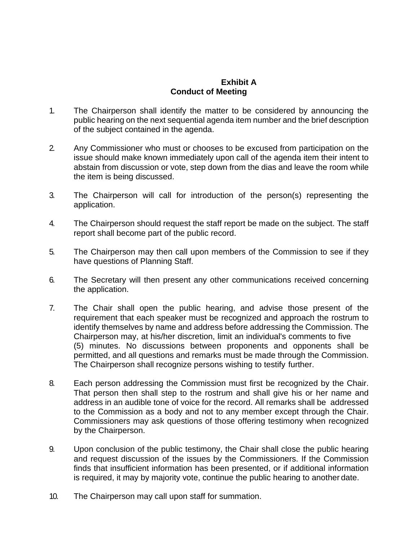# **Exhibit A Conduct of Meeting**

- 1. The Chairperson shall identify the matter to be considered by announcing the public hearing on the next sequential agenda item number and the brief description of the subject contained in the agenda.
- 2. Any Commissioner who must or chooses to be excused from participation on the issue should make known immediately upon call of the agenda item their intent to abstain from discussion or vote, step down from the dias and leave the room while the item is being discussed.
- 3. The Chairperson will call for introduction of the person(s) representing the application.
- 4. The Chairperson should request the staff report be made on the subject. The staff report shall become part of the public record.
- 5. The Chairperson may then call upon members of the Commission to see if they have questions of Planning Staff.
- 6. The Secretary will then present any other communications received concerning the application.
- 7. The Chair shall open the public hearing, and advise those present of the requirement that each speaker must be recognized and approach the rostrum to identify themselves by name and address before addressing the Commission. The Chairperson may, at his/her discretion, limit an individual's comments to five (5) minutes. No discussions between proponents and opponents shall be permitted, and all questions and remarks must be made through the Commission. The Chairperson shall recognize persons wishing to testify further.
- 8. Each person addressing the Commission must first be recognized by the Chair. That person then shall step to the rostrum and shall give his or her name and address in an audible tone of voice for the record. All remarks shall be addressed to the Commission as a body and not to any member except through the Chair. Commissioners may ask questions of those offering testimony when recognized by the Chairperson.
- 9. Upon conclusion of the public testimony, the Chair shall close the public hearing and request discussion of the issues by the Commissioners. If the Commission finds that insufficient information has been presented, or if additional information is required, it may by majority vote, continue the public hearing to another date.
- 10. The Chairperson may call upon staff for summation.